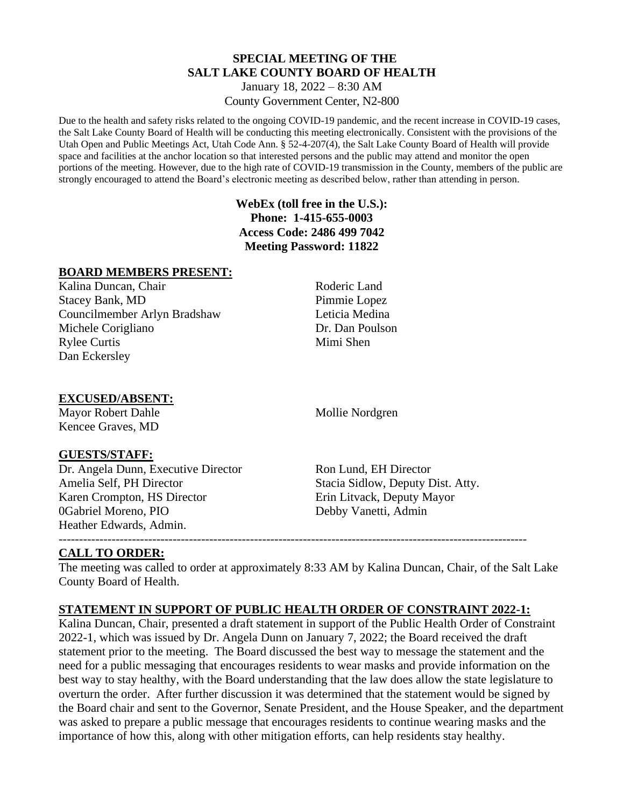## **SPECIAL MEETING OF THE SALT LAKE COUNTY BOARD OF HEALTH**

January 18, 2022 – 8:30 AM County Government Center, N2-800

Due to the health and safety risks related to the ongoing COVID-19 pandemic, and the recent increase in COVID-19 cases, the Salt Lake County Board of Health will be conducting this meeting electronically. Consistent with the provisions of the Utah Open and Public Meetings Act, Utah Code Ann. § 52-4-207(4), the Salt Lake County Board of Health will provide space and facilities at the anchor location so that interested persons and the public may attend and monitor the open portions of the meeting. However, due to the high rate of COVID-19 transmission in the County, members of the public are strongly encouraged to attend the Board's electronic meeting as described below, rather than attending in person.

#### **WebEx (toll free in the U.S.): Phone: 1-415-655-0003 Access Code: 2486 499 7042 Meeting Password: 11822**

#### **BOARD MEMBERS PRESENT:**

Kalina Duncan, Chair Roderic Land Stacey Bank, MD Pimmie Lopez Councilmember Arlyn Bradshaw Leticia Medina Michele Corigliano **Dr. Dan Poulson** Rylee Curtis Mimi Shen Dan Eckersley

### **EXCUSED/ABSENT:**

Mayor Robert Dahle Mollie Nordgren Kencee Graves, MD

### **GUESTS/STAFF:**

Dr. Angela Dunn, Executive Director Ron Lund, EH Director Amelia Self, PH Director Stacia Sidlow, Deputy Dist. Atty. Karen Crompton, HS Director Erin Litvack, Deputy Mayor 0Gabriel Moreno, PIO Debby Vanetti, Admin Heather Edwards, Admin.

#### ------------------------------------------------------------------------------------------------------------------- **CALL TO ORDER:**

The meeting was called to order at approximately 8:33 AM by Kalina Duncan, Chair, of the Salt Lake County Board of Health.

# **STATEMENT IN SUPPORT OF PUBLIC HEALTH ORDER OF CONSTRAINT 2022-1:**

Kalina Duncan, Chair, presented a draft statement in support of the Public Health Order of Constraint 2022-1, which was issued by Dr. Angela Dunn on January 7, 2022; the Board received the draft statement prior to the meeting. The Board discussed the best way to message the statement and the need for a public messaging that encourages residents to wear masks and provide information on the best way to stay healthy, with the Board understanding that the law does allow the state legislature to overturn the order. After further discussion it was determined that the statement would be signed by the Board chair and sent to the Governor, Senate President, and the House Speaker, and the department was asked to prepare a public message that encourages residents to continue wearing masks and the importance of how this, along with other mitigation efforts, can help residents stay healthy.